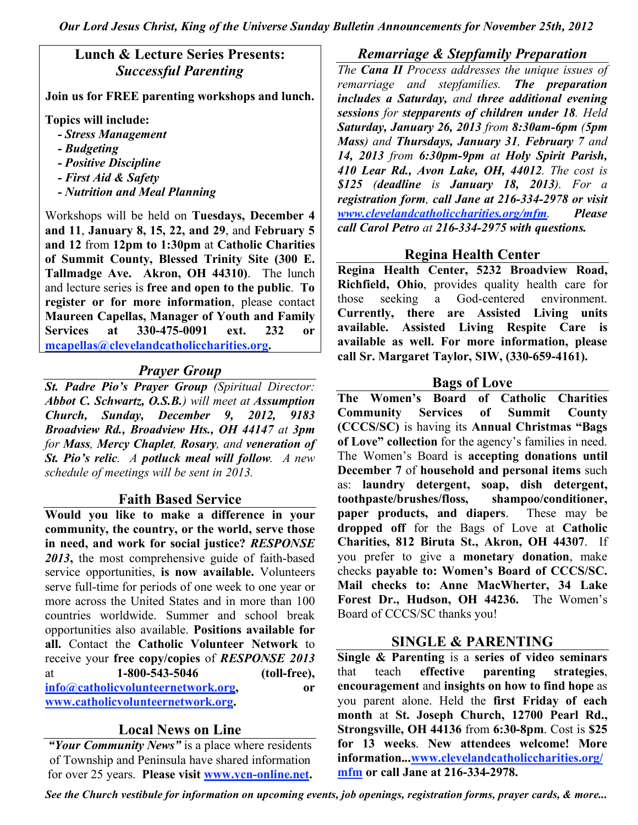*Our Lord Jesus Christ, King of the Universe Sunday Bulletin Announcements for November 25th, 2012*

## **Lunch & Lecture Series Presents:** *Successful Parenting*

**Join us for FREE parenting workshops and lunch.**

**Topics will include:**

- *- Stress Management*
- *- Budgeting*
- *- Positive Discipline*
- *- First Aid & Safety*
- *- Nutrition and Meal Planning*

Workshops will be held on **Tuesdays, December 4 and 11**, **January 8, 15, 22, and 29**, and **February 5 and 12** from **12pm to 1:30pm** at **Catholic Charities of Summit County, Blessed Trinity Site (300 E. Tallmadge Ave. Akron, OH 44310)**. The lunch and lecture series is **free and open to the public**. **To register or for more information**, please contact **Maureen Capellas, Manager of Youth and Family Services at 330-475-0091 ext. 232 or mcapellas@clevelandcatholiccharities.org.**

# *Prayer Group*

*St. Padre Pio's Prayer Group (Spiritual Director: Abbot C. Schwartz, O.S.B.) will meet at Assumption Church, Sunday, December 9, 2012, 9183 Broadview Rd., Broadview Hts., OH 44147 at 3pm for Mass, Mercy Chaplet, Rosary, and veneration of St. Pio's relic. A potluck meal will follow. A new schedule of meetings will be sent in 2013.*

### **Faith Based Service**

**Would you like to make a difference in your community, the country, or the world, serve those in need, and work for social justice?** *RESPONSE 2013***,** the most comprehensive guide of faith-based service opportunities, **is now available.** Volunteers serve full-time for periods of one week to one year or more across the United States and in more than 100 countries worldwide. Summer and school break opportunities also available. **Positions available for all.** Contact the **Catholic Volunteer Network** to receive your **free copy/copies** of *RESPONSE 2013* at **1-800-543-5046 (toll-free), info@catholicvolunteernetwork.org, or www.catholicvolunteernetwork.org.**

### **Local News on Line**

*"Your Community News"* is a place where residents of Township and Peninsula have shared information for over 25 years. **Please visit www.ycn-online.net.**

#### *Remarriage & Stepfamily Preparation*

*The Cana II Process addresses the unique issues of remarriage and stepfamilies. The preparation includes a Saturday, and three additional evening sessions for stepparents of children under 18. Held Saturday, January 26, 2013 from 8:30am-6pm (5pm Mass) and Thursdays, January 31, February 7 and 14, 2013 from 6:30pm-9pm at Holy Spirit Parish, 410 Lear Rd., Avon Lake, OH, 44012. The cost is \$125 (deadline is January 18, 2013). For a registration form, call Jane at 216-334-2978 or visit www.clevelandcatholiccharities.org/mfm. Please call Carol Petro at 216-334-2975 with questions.*

## **Regina Health Center**

**Regina Health Center, 5232 Broadview Road, Richfield, Ohio**, provides quality health care for those seeking a God-centered environment. **Currently, there are Assisted Living units available. Assisted Living Respite Care is available as well. For more information, please call Sr. Margaret Taylor, SIW, (330-659-4161).**

#### **Bags of Love**

**The Women's Board of Catholic Charities Community Services of Summit County (CCCS/SC)** is having its **Annual Christmas "Bags of Love" collection** for the agency's families in need. The Women's Board is **accepting donations until December 7** of **household and personal items** such as: **laundry detergent, soap, dish detergent, toothpaste/brushes/floss, shampoo/conditioner, paper products, and diapers**. These may be **dropped off** for the Bags of Love at **Catholic Charities, 812 Biruta St., Akron, OH 44307**. If you prefer to give a **monetary donation**, make checks **payable to: Women's Board of CCCS/SC. Mail checks to: Anne MacWherter, 34 Lake Forest Dr., Hudson, OH 44236.** The Women's Board of CCCS/SC thanks you!

## **SINGLE & PARENTING**

**Single & Parenting** is a **series of video seminars** that teach **effective parenting strategies**, **encouragement** and **insights on how to find hope** as you parent alone. Held the **first Friday of each month** at **St. Joseph Church, 12700 Pearl Rd., Strongsville, OH 44136** from **6:30-8pm**. Cost is **\$25 for 13 weeks**. **New attendees welcome! More information...www.clevelandcatholiccharities.org/ mfm or call Jane at 216-334-2978.**

*See the Church vestibule for information on upcoming events, job openings, registration forms, prayer cards, & more...*